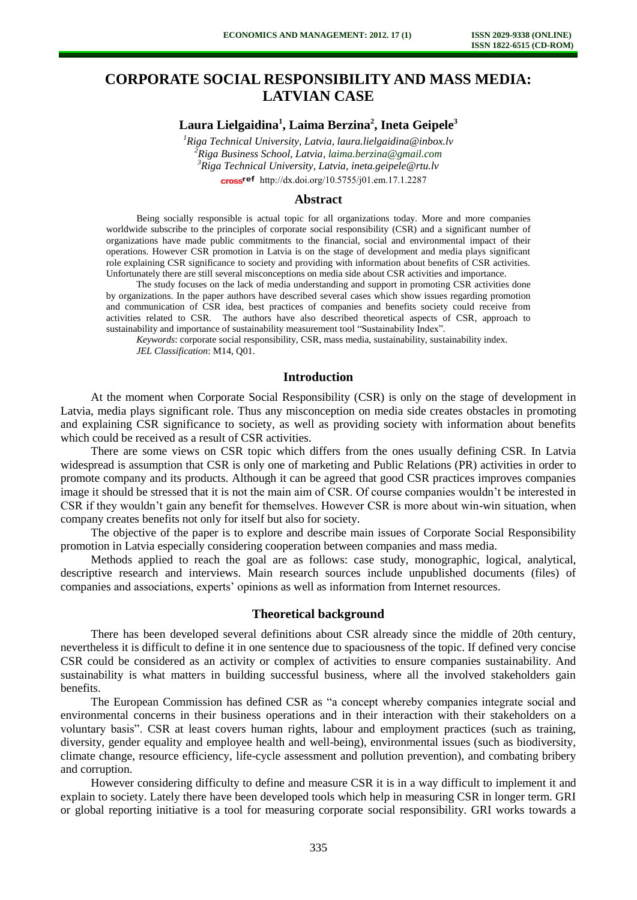# **CORPORATE SOCIAL RESPONSIBILITY AND MASS MEDIA: LATVIAN CASE**

# **Laura Lielgaidina<sup>1</sup> , Laima Berzina<sup>2</sup> , Ineta Geipele<sup>3</sup>**

*Riga Technical University, Latvia, laura.lielgaidina@inbox.lv Riga Business School, Latvia, [laima.berzina@gmail.com](mailto:laima.berzina@gmail.com) Riga Technical University, Latvia, ineta.geipele@rtu.lv*  cross<sup>ref</sup> [http://dx.doi.org/10.5755/j01.e](http://dx.doi.org/10.5755/j01.em.17.1.2287)m.17.1.2287

#### **Abstract**

Being socially responsible is actual topic for all organizations today. More and more companies worldwide subscribe to the principles of corporate social responsibility (CSR) and a significant number of organizations have made public commitments to the financial, social and environmental impact of their operations. However CSR promotion in Latvia is on the stage of development and media plays significant role explaining CSR significance to society and providing with information about benefits of CSR activities. Unfortunately there are still several misconceptions on media side about CSR activities and importance.

The study focuses on the lack of media understanding and support in promoting CSR activities done by organizations. In the paper authors have described several cases which show issues regarding promotion and communication of CSR idea, best practices of companies and benefits society could receive from activities related to CSR. The authors have also described theoretical aspects of CSR, approach to sustainability and importance of sustainability measurement tool "Sustainability Index".

*Keywords*: corporate social responsibility, CSR, mass media, sustainability, sustainability index. *JEL Classification*: M14, Q01.

## **Introduction**

At the moment when Corporate Social Responsibility (CSR) is only on the stage of development in Latvia, media plays significant role. Thus any misconception on media side creates obstacles in promoting and explaining CSR significance to society, as well as providing society with information about benefits which could be received as a result of CSR activities.

There are some views on CSR topic which differs from the ones usually defining CSR. In Latvia widespread is assumption that CSR is only one of marketing and Public Relations (PR) activities in order to promote company and its products. Although it can be agreed that good CSR practices improves companies image it should be stressed that it is not the main aim of CSR. Of course companies wouldn't be interested in CSR if they wouldn't gain any benefit for themselves. However CSR is more about win-win situation, when company creates benefits not only for itself but also for society.

The objective of the paper is to explore and describe main issues of Corporate Social Responsibility promotion in Latvia especially considering cooperation between companies and mass media.

Methods applied to reach the goal are as follows: case study, monographic, logical, analytical, descriptive research and interviews. Main research sources include unpublished documents (files) of companies and associations, experts' opinions as well as information from Internet resources.

# **Theoretical background**

There has been developed several definitions about CSR already since the middle of 20th century, nevertheless it is difficult to define it in one sentence due to spaciousness of the topic. If defined very concise CSR could be considered as an activity or complex of activities to ensure companies sustainability. And sustainability is what matters in building successful business, where all the involved stakeholders gain benefits.

The European Commission has defined CSR as "a concept whereby companies integrate social and environmental concerns in their business operations and in their interaction with their stakeholders on a voluntary basis". CSR at least covers human rights, labour and employment practices (such as training, diversity, gender equality and employee health and well-being), environmental issues (such as biodiversity, climate change, resource efficiency, life-cycle assessment and pollution prevention), and combating bribery and corruption.

However considering difficulty to define and measure CSR it is in a way difficult to implement it and explain to society. Lately there have been developed tools which help in measuring CSR in longer term. GRI or global reporting initiative is a tool for measuring corporate social responsibility. GRI works towards a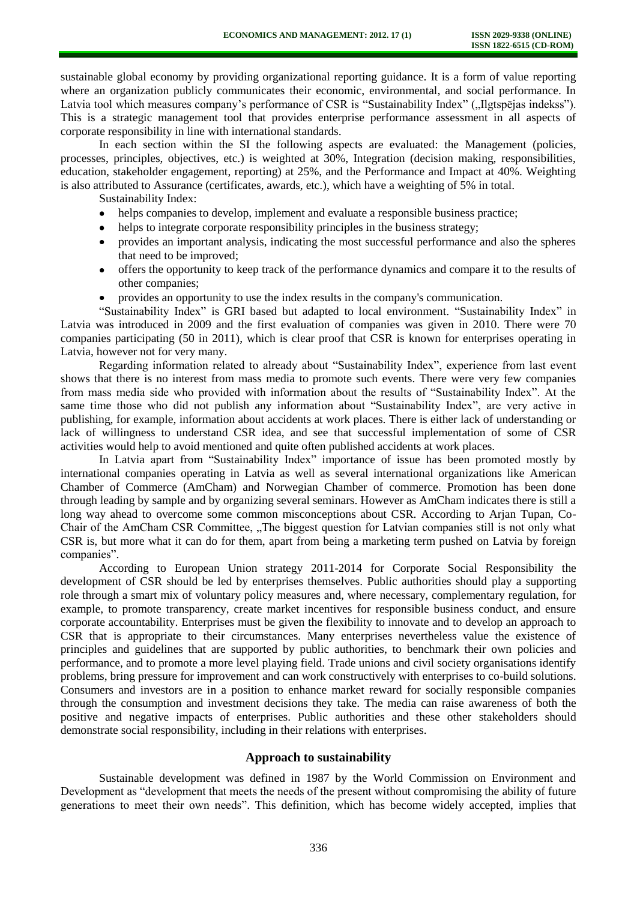sustainable global economy by providing organizational reporting guidance. It is a form of value reporting where an organization publicly communicates their economic, environmental, and social performance. In Latvia tool which measures company's performance of CSR is "Sustainability Index" ("Ilgtspējas indekss"). This is a strategic management tool that provides enterprise performance assessment in all aspects of corporate responsibility in line with international standards.

In each section within the SI the following aspects are evaluated: the Management (policies, processes, principles, objectives, etc.) is weighted at 30%, Integration (decision making, responsibilities, education, stakeholder engagement, reporting) at 25%, and the Performance and Impact at 40%. Weighting is also attributed to Assurance (certificates, awards, etc.), which have a weighting of 5% in total.

Sustainability Index:

- helps companies to develop, implement and evaluate a responsible business practice;
- helps to integrate corporate responsibility principles in the business strategy;
- $\bullet$ provides an important analysis, indicating the most successful performance and also the spheres that need to be improved;
- $\bullet$ offers the opportunity to keep track of the performance dynamics and compare it to the results of other companies;
- provides an opportunity to use the index results in the company's communication.

"Sustainability Index" is GRI based but adapted to local environment. "Sustainability Index" in Latvia was introduced in 2009 and the first evaluation of companies was given in 2010. There were 70 companies participating (50 in 2011), which is clear proof that CSR is known for enterprises operating in Latvia, however not for very many.

Regarding information related to already about "Sustainability Index", experience from last event shows that there is no interest from mass media to promote such events. There were very few companies from mass media side who provided with information about the results of "Sustainability Index". At the same time those who did not publish any information about "Sustainability Index", are very active in publishing, for example, information about accidents at work places. There is either lack of understanding or lack of willingness to understand CSR idea, and see that successful implementation of some of CSR activities would help to avoid mentioned and quite often published accidents at work places.

In Latvia apart from "Sustainability Index" importance of issue has been promoted mostly by international companies operating in Latvia as well as several international organizations like American Chamber of Commerce (AmCham) and Norwegian Chamber of commerce. Promotion has been done through leading by sample and by organizing several seminars. However as AmCham indicates there is still a long way ahead to overcome some common misconceptions about CSR. According to Arjan Tupan, Co-Chair of the AmCham CSR Committee, "The biggest question for Latvian companies still is not only what CSR is, but more what it can do for them, apart from being a marketing term pushed on Latvia by foreign companies".

According to European Union strategy 2011-2014 for Corporate Social Responsibility the development of CSR should be led by enterprises themselves. Public authorities should play a supporting role through a smart mix of voluntary policy measures and, where necessary, complementary regulation, for example, to promote transparency, create market incentives for responsible business conduct, and ensure corporate accountability. Enterprises must be given the flexibility to innovate and to develop an approach to CSR that is appropriate to their circumstances. Many enterprises nevertheless value the existence of principles and guidelines that are supported by public authorities, to benchmark their own policies and performance, and to promote a more level playing field. Trade unions and civil society organisations identify problems, bring pressure for improvement and can work constructively with enterprises to co-build solutions. Consumers and investors are in a position to enhance market reward for socially responsible companies through the consumption and investment decisions they take. The media can raise awareness of both the positive and negative impacts of enterprises. Public authorities and these other stakeholders should demonstrate social responsibility, including in their relations with enterprises.

# **Approach to sustainability**

Sustainable development was defined in 1987 by the World Commission on Environment and Development as "development that meets the needs of the present without compromising the ability of future generations to meet their own needs". This definition, which has become widely accepted, implies that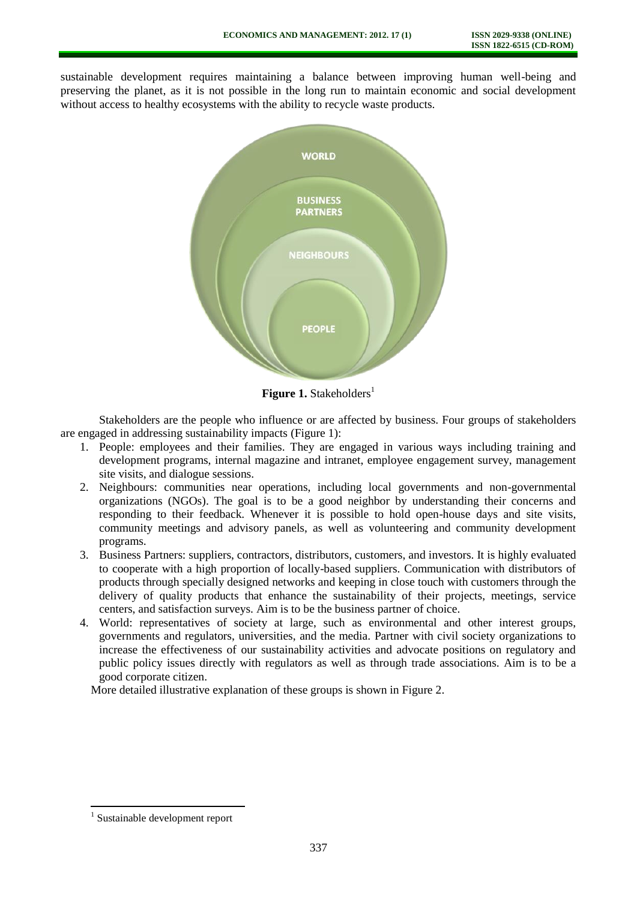sustainable development requires maintaining a balance between improving human well-being and preserving the planet, as it is not possible in the long run to maintain economic and social development without access to healthy ecosystems with the ability to recycle waste products.



**Figure 1.** Stakeholders<sup>1</sup>

Stakeholders are the people who influence or are affected by business. Four groups of stakeholders are engaged in addressing sustainability impacts (Figure 1):

- 1. People: employees and their families. They are engaged in various ways including training and development programs, internal magazine and intranet, employee engagement survey, management site visits, and dialogue sessions.
- 2. Neighbours: communities near operations, including local governments and non-governmental organizations (NGOs). The goal is to be a good neighbor by understanding their concerns and responding to their feedback. Whenever it is possible to hold open-house days and site visits, community meetings and advisory panels, as well as volunteering and community development programs.
- 3. Business Partners: suppliers, contractors, distributors, customers, and investors. It is highly evaluated to cooperate with a high proportion of locally-based suppliers. Communication with distributors of products through specially designed networks and keeping in close touch with customers through the delivery of quality products that enhance the sustainability of their projects, meetings, service centers, and satisfaction surveys. Aim is to be the business partner of choice.
- 4. World: representatives of society at large, such as environmental and other interest groups, governments and regulators, universities, and the media. Partner with civil society organizations to increase the effectiveness of our sustainability activities and advocate positions on regulatory and public policy issues directly with regulators as well as through trade associations. Aim is to be a good corporate citizen.

More detailed illustrative explanation of these groups is shown in Figure 2.

 $\overline{a}$ 

<sup>1</sup> Sustainable development report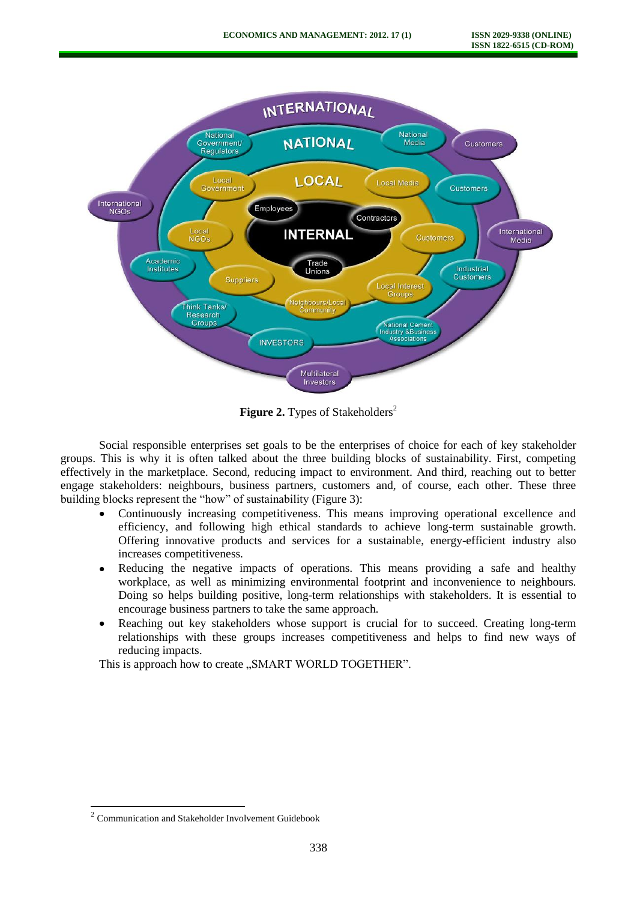

**Figure 2.** Types of Stakeholders<sup>2</sup>

Social responsible enterprises set goals to be the enterprises of choice for each of key stakeholder groups. This is why it is often talked about the three building blocks of sustainability. First, competing effectively in the marketplace. Second, reducing impact to environment. And third, reaching out to better engage stakeholders: neighbours, business partners, customers and, of course, each other. These three building blocks represent the "how" of sustainability (Figure 3):

- Continuously increasing competitiveness. This means improving operational excellence and efficiency, and following high ethical standards to achieve long-term sustainable growth. Offering innovative products and services for a sustainable, energy-efficient industry also increases competitiveness.
- Reducing the negative impacts of operations. This means providing a safe and healthy  $\bullet$ workplace, as well as minimizing environmental footprint and inconvenience to neighbours. Doing so helps building positive, long-term relationships with stakeholders. It is essential to encourage business partners to take the same approach.
- Reaching out key stakeholders whose support is crucial for to succeed. Creating long-term relationships with these groups increases competitiveness and helps to find new ways of reducing impacts.

This is approach how to create ..SMART WORLD TOGETHER".

<sup>&</sup>lt;sup>2</sup> Communication and Stakeholder Involvement Guidebook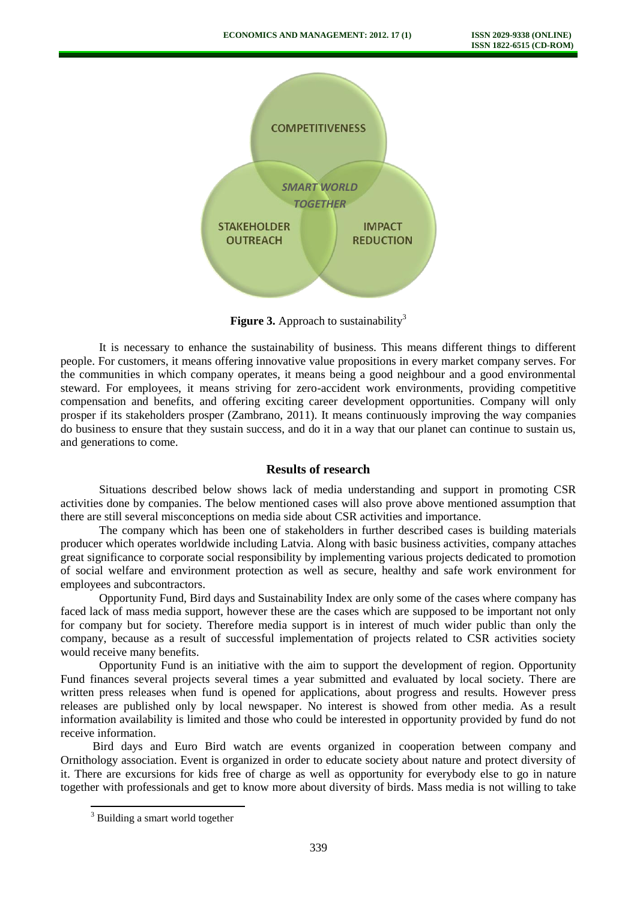

**Figure 3.** Approach to sustainability<sup>3</sup>

It is necessary to enhance the sustainability of business. This means different things to different people. For customers, it means offering innovative value propositions in every market company serves. For the communities in which company operates, it means being a good neighbour and a good environmental steward. For employees, it means striving for zero-accident work environments, providing competitive compensation and benefits, and offering exciting career development opportunities. Company will only prosper if its stakeholders prosper (Zambrano, 2011). It means continuously improving the way companies do business to ensure that they sustain success, and do it in a way that our planet can continue to sustain us, and generations to come.

# **Results of research**

Situations described below shows lack of media understanding and support in promoting CSR activities done by companies. The below mentioned cases will also prove above mentioned assumption that there are still several misconceptions on media side about CSR activities and importance.

The company which has been one of stakeholders in further described cases is building materials producer which operates worldwide including Latvia. Along with basic business activities, company attaches great significance to corporate social responsibility by implementing various projects dedicated to promotion of social welfare and environment protection as well as secure, healthy and safe work environment for employees and subcontractors.

Opportunity Fund, Bird days and Sustainability Index are only some of the cases where company has faced lack of mass media support, however these are the cases which are supposed to be important not only for company but for society. Therefore media support is in interest of much wider public than only the company, because as a result of successful implementation of projects related to CSR activities society would receive many benefits.

Opportunity Fund is an initiative with the aim to support the development of region. Opportunity Fund finances several projects several times a year submitted and evaluated by local society. There are written press releases when fund is opened for applications, about progress and results. However press releases are published only by local newspaper. No interest is showed from other media. As a result information availability is limited and those who could be interested in opportunity provided by fund do not receive information.

Bird days and Euro Bird watch are events organized in cooperation between company and Ornithology association. Event is organized in order to educate society about nature and protect diversity of it. There are excursions for kids free of charge as well as opportunity for everybody else to go in nature together with professionals and get to know more about diversity of birds. Mass media is not willing to take

 $\overline{a}$ 

<sup>&</sup>lt;sup>3</sup> Building a smart world together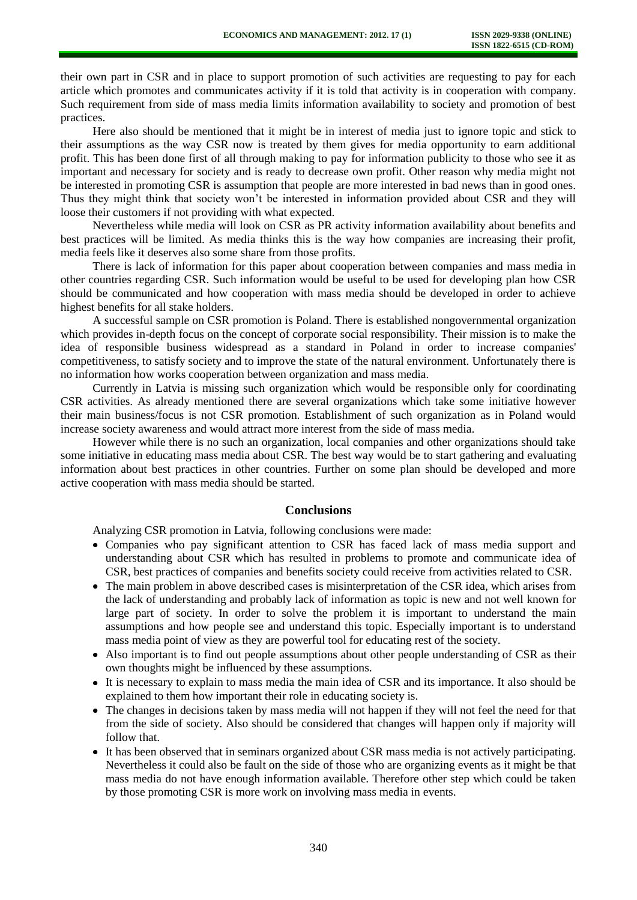their own part in CSR and in place to support promotion of such activities are requesting to pay for each article which promotes and communicates activity if it is told that activity is in cooperation with company. Such requirement from side of mass media limits information availability to society and promotion of best practices.

Here also should be mentioned that it might be in interest of media just to ignore topic and stick to their assumptions as the way CSR now is treated by them gives for media opportunity to earn additional profit. This has been done first of all through making to pay for information publicity to those who see it as important and necessary for society and is ready to decrease own profit. Other reason why media might not be interested in promoting CSR is assumption that people are more interested in bad news than in good ones. Thus they might think that society won't be interested in information provided about CSR and they will loose their customers if not providing with what expected.

Nevertheless while media will look on CSR as PR activity information availability about benefits and best practices will be limited. As media thinks this is the way how companies are increasing their profit, media feels like it deserves also some share from those profits.

There is lack of information for this paper about cooperation between companies and mass media in other countries regarding CSR. Such information would be useful to be used for developing plan how CSR should be communicated and how cooperation with mass media should be developed in order to achieve highest benefits for all stake holders.

A successful sample on CSR promotion is Poland. There is established nongovernmental organization which provides in-depth focus on the concept of corporate social responsibility. Their mission is to make the idea of responsible business widespread as a standard in Poland in order to increase companies' competitiveness, to satisfy society and to improve the state of the natural environment. Unfortunately there is no information how works cooperation between organization and mass media.

Currently in Latvia is missing such organization which would be responsible only for coordinating CSR activities. As already mentioned there are several organizations which take some initiative however their main business/focus is not CSR promotion. Establishment of such organization as in Poland would increase society awareness and would attract more interest from the side of mass media.

However while there is no such an organization, local companies and other organizations should take some initiative in educating mass media about CSR. The best way would be to start gathering and evaluating information about best practices in other countries. Further on some plan should be developed and more active cooperation with mass media should be started.

#### **Conclusions**

Analyzing CSR promotion in Latvia, following conclusions were made:

- Companies who pay significant attention to CSR has faced lack of mass media support and understanding about CSR which has resulted in problems to promote and communicate idea of CSR, best practices of companies and benefits society could receive from activities related to CSR.
- The main problem in above described cases is misinterpretation of the CSR idea, which arises from the lack of understanding and probably lack of information as topic is new and not well known for large part of society. In order to solve the problem it is important to understand the main assumptions and how people see and understand this topic. Especially important is to understand mass media point of view as they are powerful tool for educating rest of the society.
- Also important is to find out people assumptions about other people understanding of CSR as their own thoughts might be influenced by these assumptions.
- It is necessary to explain to mass media the main idea of CSR and its importance. It also should be explained to them how important their role in educating society is.
- The changes in decisions taken by mass media will not happen if they will not feel the need for that from the side of society. Also should be considered that changes will happen only if majority will follow that.
- It has been observed that in seminars organized about CSR mass media is not actively participating. Nevertheless it could also be fault on the side of those who are organizing events as it might be that mass media do not have enough information available. Therefore other step which could be taken by those promoting CSR is more work on involving mass media in events.